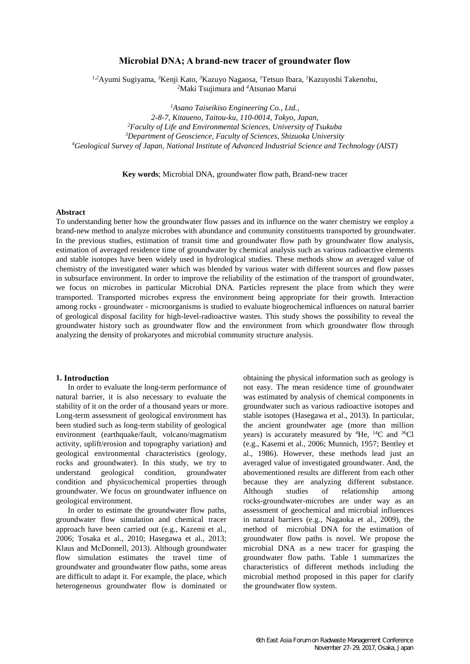# **Microbial DNA; A brand-new tracer of groundwater flow**

*1,2*Ayumi Sugiyama, *<sup>3</sup>*Kenji Kato, *<sup>3</sup>*Kazuyo Nagaosa, *<sup>1</sup>*Tetsuo Ibara, *<sup>1</sup>*Kazuyoshi Takenobu, *<sup>2</sup>*Maki Tsujimura and *<sup>4</sup>*Atsunao Marui

*Asano Taiseikiso Engineering Co., Ltd., 2-8-7, Kitaueno, Taitou-ku, 110-0014, Tokyo, Japan, Faculty of Life and Environmental Sciences, University of Tsukuba Department of Geoscience, Faculty of Sciences, Shizuoka University Geological Survey of Japan, National Institute of Advanced Industrial Science and Technology (AIST)*

**Key words**; Microbial DNA, groundwater flow path, Brand-new tracer

#### **Abstract**

To understanding better how the groundwater flow passes and its influence on the water chemistry we employ a brand-new method to analyze microbes with abundance and community constituents transported by groundwater. In the previous studies, estimation of transit time and groundwater flow path by groundwater flow analysis, estimation of averaged residence time of groundwater by chemical analysis such as various radioactive elements and stable isotopes have been widely used in hydrological studies. These methods show an averaged value of chemistry of the investigated water which was blended by various water with different sources and flow passes in subsurface environment. In order to improve the reliability of the estimation of the transport of groundwater, we focus on microbes in particular Microbial DNA. Particles represent the place from which they were transported. Transported microbes express the environment being appropriate for their growth. Interaction among rocks - groundwater - microorganisms is studied to evaluate biogeochemical influences on natural barrier of geological disposal facility for high-level-radioactive wastes. This study shows the possibility to reveal the groundwater history such as groundwater flow and the environment from which groundwater flow through analyzing the density of prokaryotes and microbial community structure analysis.

### **1. Introduction**

In order to evaluate the long-term performance of natural barrier, it is also necessary to evaluate the stability of it on the order of a thousand years or more. Long-term assessment of geological environment has been studied such as long-term stability of geological environment (earthquake/fault, volcano/magmatism activity, uplift/erosion and topography variation) and geological environmental characteristics (geology, rocks and groundwater). In this study, we try to understand geological condition, groundwater condition and physicochemical properties through groundwater. We focus on groundwater influence on geological environment.

In order to estimate the groundwater flow paths, groundwater flow simulation and chemical tracer approach have been carried out (e.g., Kazemi et al., 2006; Tosaka et al., 2010; Hasegawa et al., 2013; Klaus and McDonnell, 2013). Although groundwater flow simulation estimates the travel time of groundwater and groundwater flow paths, some areas are difficult to adapt it. For example, the place, which heterogeneous groundwater flow is dominated or

obtaining the physical information such as geology is not easy. The mean residence time of groundwater was estimated by analysis of chemical components in groundwater such as various radioactive isotopes and stable isotopes (Hasegawa et al., 2013). In particular, the ancient groundwater age (more than million years) is accurately measured by  ${}^{4}$ He,  ${}^{14}$ C and  ${}^{36}$ Cl (e.g., Kasemi et al., 2006; Munnich, 1957; Bentley et al., 1986). However, these methods lead just an averaged value of investigated groundwater. And, the abovementioned results are different from each other because they are analyzing different substance. Although studies of relationship among rocks-groundwater-microbes are under way as an assessment of geochemical and microbial influences in natural barriers (e.g., Nagaoka et al., 2009), the method of microbial DNA for the estimation of groundwater flow paths is novel. We propose the microbial DNA as a new tracer for grasping the groundwater flow paths. Table 1 summarizes the characteristics of different methods including the microbial method proposed in this paper for clarify the groundwater flow system.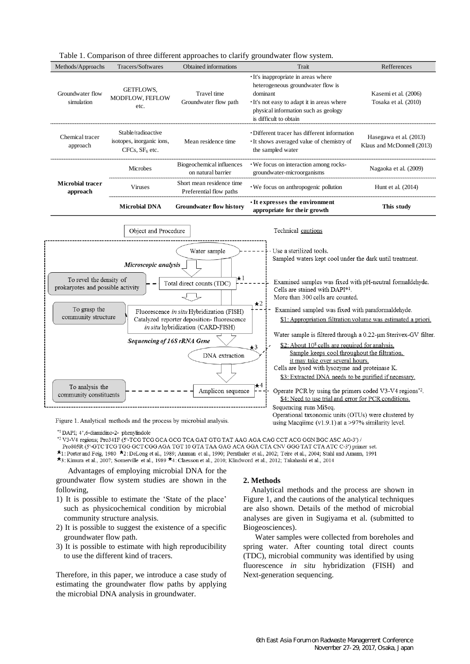

Table 1. Comparison of three different approaches to clarify groundwater flow system.

Figure 1. Analytical methods and the process by microbial analysis.

\*1 DAPI; 4',6-diamidino-2- phenylindole

 $^{\ast2}$  V3-V4 regions; Pro341F (5'-TCG TCG GCA GCG TCA GAT GTG TAT AAG AGA CAG CCT ACG GGN BGC ASC AG-3') /

Pro805R (5'-GTC TCG TGG GCT CGG AGA TGT 10 GTA TAA GAG ACA GGA CTA CNV GGG TAT CTA ATC C-3') primer set.

\*1: Porter and Feig, 1980 \*2: DeLong et al., 1989; Amman et al., 1990; Pernthaler et al., 2002; Teire et al., 2004; Stahl and Amann, 1991

\*3: Kimura et al., 2007; Somerville et al., 1989 \*4: Claesson et al., 2010; Klindword et al., 2012; Takahashi et al., 2014

 Advantages of employing microbial DNA for the groundwater flow system studies are shown in the following,

- 1) It is possible to estimate the 'State of the place' such as physicochemical condition by microbial community structure analysis.
- 2) It is possible to suggest the existence of a specific groundwater flow path.
- 3) It is possible to estimate with high reproducibility to use the different kind of tracers.

Therefore, in this paper, we introduce a case study of estimating the groundwater flow paths by applying the microbial DNA analysis in groundwater.

### **2. Methods**

 Analytical methods and the process are shown in Figure 1, and the cautions of the analytical techniques are also shown. Details of the method of microbial analyses are given in Sugiyama et al. (submitted to Biogeosciences).

using Macqiime  $(v1.9.1)$  at a >97% similarity level.

 Water samples were collected from boreholes and spring water. After counting total direct counts (TDC), microbial community was identified by using fluorescence *in situ* hybridization (FISH) and Next-generation sequencing.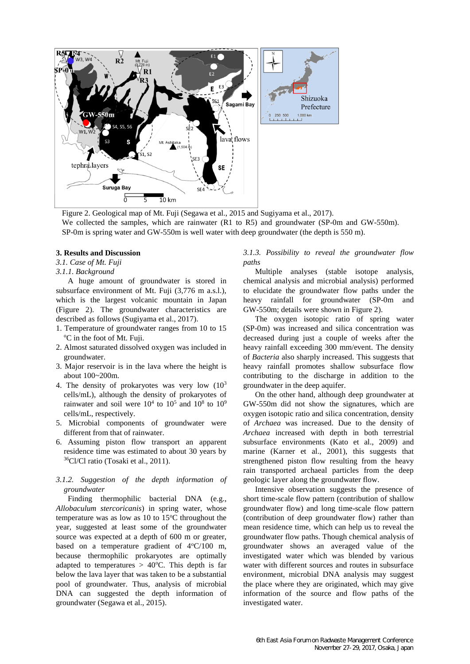

Figure 2. Geological map of Mt. Fuji (Segawa et al., 2015 and Sugiyama et al., 2017). We collected the samples, which are rainwater (R1 to R5) and groundwater (SP-0m and GW-550m). SP-0m is spring water and GW-550m is well water with deep groundwater (the depth is 550 m).

### **3. Results and Discussion**

## *3.1. Case of Mt. Fuji*

#### *3.1.1. Background*

A huge amount of groundwater is stored in subsurface environment of Mt. Fuji (3,776 m a.s.l.), which is the largest volcanic mountain in Japan (Figure 2). The groundwater characteristics are described as follows (Sugiyama et al., 2017).

- 1. Temperature of groundwater ranges from 10 to 15 <sup>o</sup>C in the foot of Mt. Fuji.
- 2. Almost saturated dissolved oxygen was included in groundwater.
- 3. Major reservoir is in the lava where the height is about 100~200m.
- 4. The density of prokaryotes was very low  $(10^3)$ cells/mL), although the density of prokaryotes of rainwater and soil were  $10^4$  to  $10^5$  and  $10^8$  to  $10^9$ cells/mL, respectively.
- 5. Microbial components of groundwater were different from that of rainwater.
- 6. Assuming piston flow transport an apparent residence time was estimated to about 30 years by <sup>36</sup>Cl/Cl ratio (Tosaki et al., 2011).

## *3.1.2. Suggestion of the depth information of groundwater*

Finding thermophilic bacterial DNA (e.g., *Allobaculum stercoricanis*) in spring water, whose temperature was as low as  $10$  to  $15^{\circ}$ C throughout the year, suggested at least some of the groundwater source was expected at a depth of 600 m or greater, based on a temperature gradient of  $4^{\circ}C/100$  m, because thermophilic prokaryotes are optimally adapted to temperatures  $> 40^{\circ}$ C. This depth is far below the lava layer that was taken to be a substantial pool of groundwater. Thus, analysis of microbial DNA can suggested the depth information of groundwater (Segawa et al., 2015).

*3.1.3. Possibility to reveal the groundwater flow paths*

Multiple analyses (stable isotope analysis, chemical analysis and microbial analysis) performed to elucidate the groundwater flow paths under the heavy rainfall for groundwater (SP-0m and GW-550m; details were shown in Figure 2).

The oxygen isotopic ratio of spring water (SP-0m) was increased and silica concentration was decreased during just a couple of weeks after the heavy rainfall exceeding 300 mm/event. The density of *Bacteria* also sharply increased. This suggests that heavy rainfall promotes shallow subsurface flow contributing to the discharge in addition to the groundwater in the deep aquifer.

On the other hand, although deep groundwater at GW-550m did not show the signatures, which are oxygen isotopic ratio and silica concentration, density of *Archaea* was increased. Due to the density of *Archaea* increased with depth in both terrestrial subsurface environments (Kato et al., 2009) and marine (Karner et al., 2001), this suggests that strengthened piston flow resulting from the heavy rain transported archaeal particles from the deep geologic layer along the groundwater flow.

Intensive observation suggests the presence of short time-scale flow pattern (contribution of shallow groundwater flow) and long time-scale flow pattern (contribution of deep groundwater flow) rather than mean residence time, which can help us to reveal the groundwater flow paths. Though chemical analysis of groundwater shows an averaged value of the investigated water which was blended by various water with different sources and routes in subsurface environment, microbial DNA analysis may suggest the place where they are originated, which may give information of the source and flow paths of the investigated water.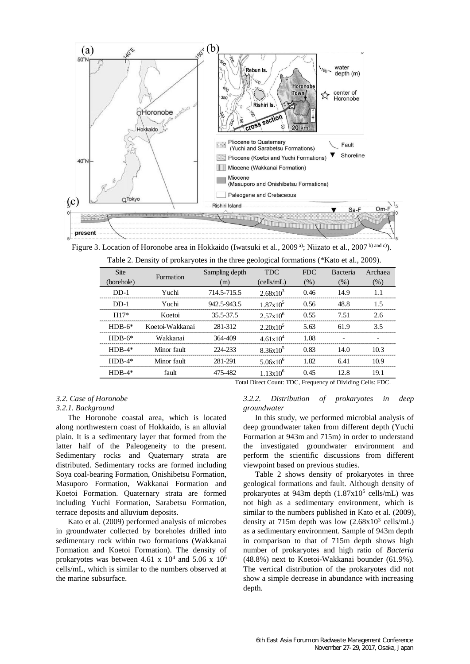

Figure 3. Location of Horonobe area in Hokkaido (Iwatsuki et al., 2009<sup>a)</sup>; Niizato et al., 2007<sup>b) and c</sup>). Table 2. Density of prokaryotes in the three geological formations (\*Kato et al., 2009).

| Table 2. Defisity of prokaryotes in the time geological formations ( 'Kato et al., 2009). |                 |                |                      |            |          |         |
|-------------------------------------------------------------------------------------------|-----------------|----------------|----------------------|------------|----------|---------|
| <b>Site</b>                                                                               | Formation       | Sampling depth | <b>TDC</b>           | <b>FDC</b> | Bacteria | Archaea |
| (borehole)                                                                                |                 | (m)            | (cells/mL)           | (% )       | (% )     | (% )    |
| $DD-1$                                                                                    | Yuchi           | 714.5-715.5    | $2.68x10^{3}$        | 0.46       | 14.9     | 1.1     |
| $DD-1$                                                                                    | Yuchi           | 942.5-943.5    | $1.87x10^5$          | 0.56       | 48.8     | 1.5     |
| $H17*$                                                                                    | Koetoi          | 35.5-37.5      | $2.57x10^{6}$        | 0.55       | 7.51     | 2.6     |
| $HDB-6*$                                                                                  | Koetoi-Wakkanai | 281-312        | $2.20x10^5$          | 5.63       | 61.9     | 3.5     |
| $HDB-6*$                                                                                  | Wakkanai        | 364-409        | $4.61 \times 10^{4}$ | 1.08       |          |         |
| $HDB-4*$                                                                                  | Minor fault     | 224-233        | $8.36x10^5$          | 0.83       | 14.0     | 10.3    |
| $HDB-4*$                                                                                  | Minor fault     | 281-291        | $5.06x10^{6}$        | 1.82       | 6.41     | 10.9    |
| $HDB-4*$                                                                                  | fault           | 475-482        | $1.13x10^{6}$        | 0.45       | 12.8     | 19.1    |
| Total Direct Count: TDC, Frequency of Dividing Cells: FDC.                                |                 |                |                      |            |          |         |

# *3.2. Case of Horonobe 3.2.1. Background*

The Horonobe coastal area, which is located along northwestern coast of Hokkaido, is an alluvial plain. It is a sedimentary layer that formed from the latter half of the Paleogeneity to the present. Sedimentary rocks and Quaternary strata are distributed. Sedimentary rocks are formed including Soya coal-bearing Formation, Onishibetsu Formation, Masuporo Formation, Wakkanai Formation and Koetoi Formation. Quaternary strata are formed including Yuchi Formation, Sarabetsu Formation, terrace deposits and alluvium deposits.

Kato et al. (2009) performed analysis of microbes in groundwater collected by boreholes drilled into sedimentary rock within two formations (Wakkanai Formation and Koetoi Formation). The density of prokaryotes was between 4.61 x  $10^4$  and 5.06 x  $10^6$ cells/mL, which is similar to the numbers observed at the marine subsurface.

# *3.2.2. Distribution of prokaryotes in deep groundwater*

In this study, we performed microbial analysis of deep groundwater taken from different depth (Yuchi Formation at 943m and 715m) in order to understand the investigated groundwater environment and perform the scientific discussions from different viewpoint based on previous studies.

Table 2 shows density of prokaryotes in three geological formations and fault. Although density of prokaryotes at  $943m$  depth  $(1.87x10^5 \text{ cells/mL})$  was not high as a sedimentary environment, which is similar to the numbers published in Kato et al. (2009), density at 715m depth was low  $(2.68 \times 10^3 \text{ cells/mL})$ as a sedimentary environment. Sample of 943m depth in comparison to that of 715m depth shows high number of prokaryotes and high ratio of *Bacteria* (48.8%) next to Koetoi-Wakkanai bounder (61.9%). The vertical distribution of the prokaryotes did not show a simple decrease in abundance with increasing depth.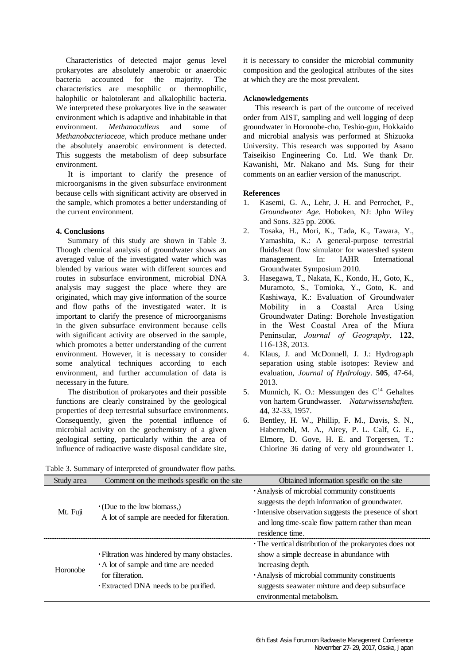Characteristics of detected major genus level prokaryotes are absolutely anaerobic or anaerobic bacteria accounted for the majority. The characteristics are mesophilic or thermophilic, halophilic or halotolerant and alkalophilic bacteria. We interpreted these prokaryotes live in the seawater environment which is adaptive and inhabitable in that environment. *Methanoculleus* and some of *Methanobacteriaceae*, which produce methane under the absolutely anaerobic environment is detected. This suggests the metabolism of deep subsurface environment.

 It is important to clarify the presence of microorganisms in the given subsurface environment because cells with significant activity are observed in the sample, which promotes a better understanding of the current environment.

## **4. Conclusions**

Summary of this study are shown in Table 3. Though chemical analysis of groundwater shows an averaged value of the investigated water which was blended by various water with different sources and routes in subsurface environment, microbial DNA analysis may suggest the place where they are originated, which may give information of the source and flow paths of the investigated water. It is important to clarify the presence of microorganisms in the given subsurface environment because cells with significant activity are observed in the sample, which promotes a better understanding of the current environment. However, it is necessary to consider some analytical techniques according to each environment, and further accumulation of data is necessary in the future.

The distribution of prokaryotes and their possible functions are clearly constrained by the geological properties of deep terrestrial subsurface environments. Consequently, given the potential influence of microbial activity on the geochemistry of a given geological setting, particularly within the area of influence of radioactive waste disposal candidate site,

it is necessary to consider the microbial community composition and the geological attributes of the sites at which they are the most prevalent.

# **Acknowledgements**

This research is part of the outcome of received order from AIST, sampling and well logging of deep groundwater in Horonobe-cho, Teshio-gun, Hokkaido and microbial analysis was performed at Shizuoka University. This research was supported by Asano Taiseikiso Engineering Co. Ltd. We thank Dr. Kawanishi, Mr. Nakano and Ms. Sung for their comments on an earlier version of the manuscript.

### **References**

- 1. Kasemi, G. A., Lehr, J. H. and Perrochet, P., *Groundwater Age.* Hoboken, NJ: Jphn Wiley and Sons. 325 pp. 2006.
- 2. Tosaka, H., Mori, K., Tada, K., Tawara, Y., Yamashita, K.: A general-purpose terrestrial fluids/heat flow simulator for watershed system management. In: IAHR International Groundwater Symposium 2010.
- 3. Hasegawa, T., Nakata, K., Kondo, H., Goto, K., Muramoto, S., Tomioka, Y., Goto, K. and Kashiwaya, K.: Evaluation of Groundwater Mobility in a Coastal Area Using Groundwater Dating: Borehole Investigation in the West Coastal Area of the Miura Peninsular, *Journal of Geography*, **122**, 116-138, 2013.
- 4. Klaus, J. and McDonnell, J. J.: Hydrograph separation using stable isotopes: Review and evaluation, *Journal of Hydrology*. **505**, 47-64, 2013.
- 5. Munnich, K. O.: Messungen des  $C<sup>14</sup>$  Gehaltes von hartem Grundwasser. *Naturwissenshaften*. **44**, 32-33, 1957.
- 6. Bentley, H. W., Phillip, F. M., Davis, S. N., Habermehl, M. A., Airey, P. L. Calf, G. E., Elmore, D. Gove, H. E. and Torgersen, T.: Chlorine 36 dating of very old groundwater 1.

Table 3. Summary of interpreted of groundwater flow paths.

|                                                            | geological setting, particularly within the area of<br>influence of radioactive waste disposal candidate site,                                 | Elmore, D. Gove, H. E. and Torgersen, T.:<br>Chlorine 36 dating of very old groundwater 1.                                                                                                                                                               |  |  |  |
|------------------------------------------------------------|------------------------------------------------------------------------------------------------------------------------------------------------|----------------------------------------------------------------------------------------------------------------------------------------------------------------------------------------------------------------------------------------------------------|--|--|--|
| Table 3. Summary of interpreted of groundwater flow paths. |                                                                                                                                                |                                                                                                                                                                                                                                                          |  |  |  |
| Study area                                                 | Comment on the methods spesific on the site                                                                                                    | Obtained information spesific on the site                                                                                                                                                                                                                |  |  |  |
| Mt. Fuji                                                   | $\cdot$ (Due to the low biomass,)<br>A lot of sample are needed for filteration.                                                               | • Analysis of microbial community constituents<br>suggests the depth information of groundwater.<br>• Intensive observation suggests the presence of short<br>and long time-scale flow pattern rather than mean<br>residence time.                       |  |  |  |
| Horonobe                                                   | • Filtration was hindered by many obstacles.<br>A lot of sample and time are needed<br>for filteration.<br>Extracted DNA needs to be purified. | • The vertical distribution of the prokaryotes does not<br>show a simple decrease in abundance with<br>increasing depth.<br>• Analysis of microbial community constituents<br>suggests seawater mixture and deep subsurface<br>environmental metabolism. |  |  |  |